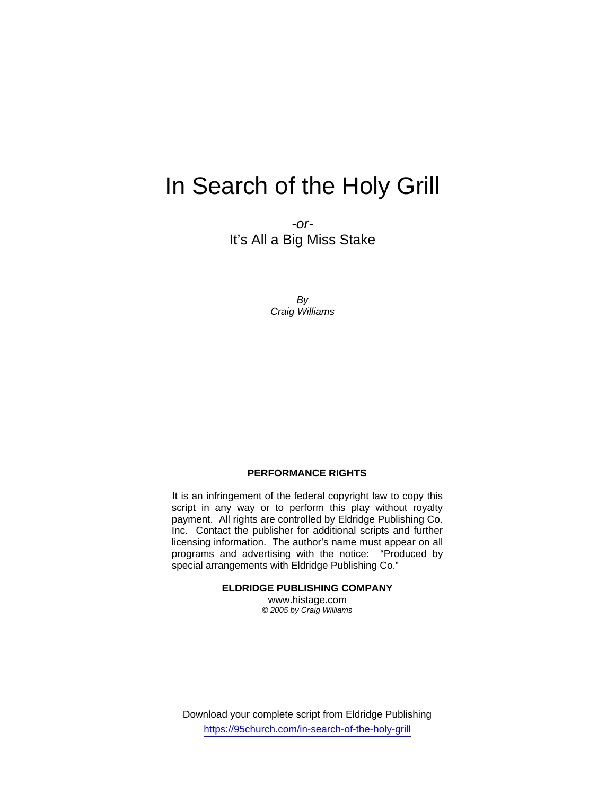# In Search of the Holy Grill

*-or-*It's All a Big Miss Stake

> *By Craig Williams*

#### **PERFORMANCE RIGHTS**

It is an infringement of the federal copyright law to copy this script in any way or to perform this play without royalty payment. All rights are controlled by Eldridge Publishing Co. Inc. Contact the publisher for additional scripts and further licensing information. The author's name must appear on all programs and advertising with the notice: "Produced by special arrangements with Eldridge Publishing Co."

**ELDRIDGE PUBLISHING COMPANY** 

www.histage.com *© 2005 by Craig Williams* 

Download your complete script from Eldridge Publishing https://95church.com/in-search-of-the-holy-grill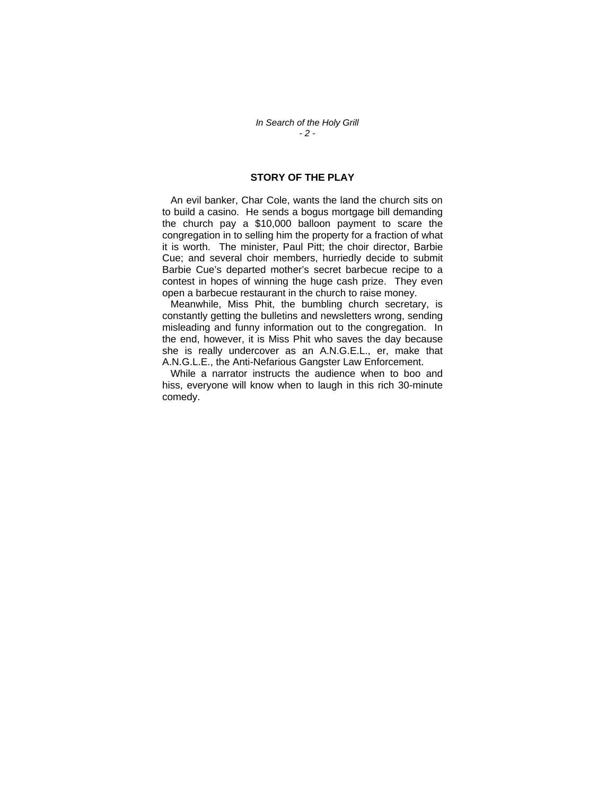## **STORY OF THE PLAY**

 An evil banker, Char Cole, wants the land the church sits on to build a casino. He sends a bogus mortgage bill demanding the church pay a \$10,000 balloon payment to scare the congregation in to selling him the property for a fraction of what it is worth. The minister, Paul Pitt; the choir director, Barbie Cue; and several choir members, hurriedly decide to submit Barbie Cue's departed mother's secret barbecue recipe to a contest in hopes of winning the huge cash prize. They even open a barbecue restaurant in the church to raise money.

 Meanwhile, Miss Phit, the bumbling church secretary, is constantly getting the bulletins and newsletters wrong, sending misleading and funny information out to the congregation. In the end, however, it is Miss Phit who saves the day because she is really undercover as an A.N.G.E.L., er, make that A.N.G.L.E., the Anti-Nefarious Gangster Law Enforcement.

 While a narrator instructs the audience when to boo and hiss, everyone will know when to laugh in this rich 30-minute comedy.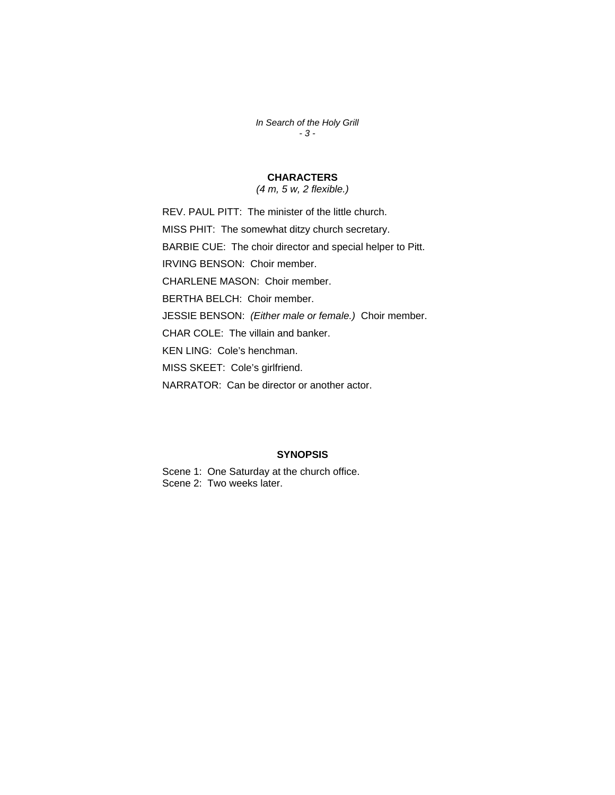*In Search of the Holy Grill - 3 -* 

# **CHARACTERS**

*(4 m, 5 w, 2 flexible.)* 

REV. PAUL PITT: The minister of the little church. MISS PHIT: The somewhat ditzy church secretary. BARBIE CUE: The choir director and special helper to Pitt. IRVING BENSON: Choir member. CHARLENE MASON: Choir member. BERTHA BELCH: Choir member. JESSIE BENSON: *(Either male or female.)* Choir member. CHAR COLE: The villain and banker. KEN LING: Cole's henchman. MISS SKEET: Cole's girlfriend. NARRATOR: Can be director or another actor.

#### **SYNOPSIS**

Scene 1: One Saturday at the church office. Scene 2: Two weeks later.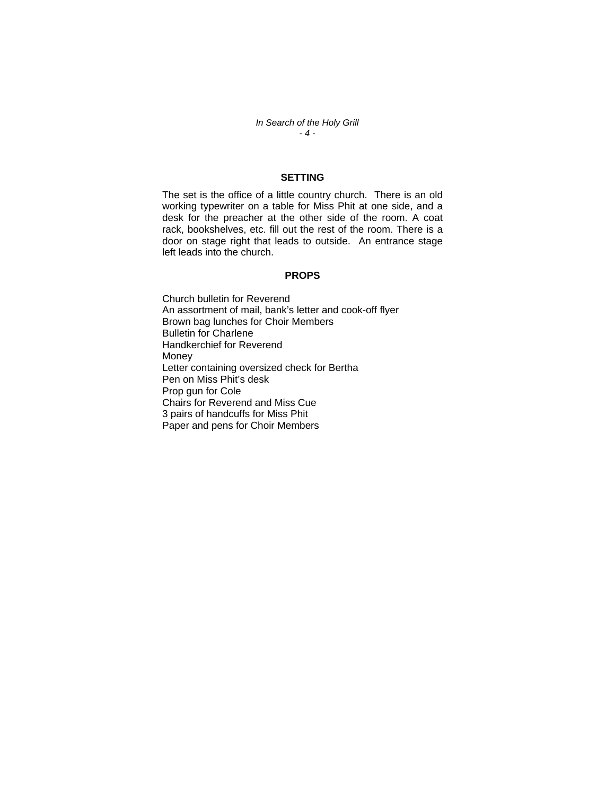*In Search of the Holy Grill - 4 -* 

### **SETTING**

The set is the office of a little country church. There is an old working typewriter on a table for Miss Phit at one side, and a desk for the preacher at the other side of the room. A coat rack, bookshelves, etc. fill out the rest of the room. There is a door on stage right that leads to outside. An entrance stage left leads into the church.

#### **PROPS**

Church bulletin for Reverend An assortment of mail, bank's letter and cook-off flyer Brown bag lunches for Choir Members Bulletin for Charlene Handkerchief for Reverend Money Letter containing oversized check for Bertha Pen on Miss Phit's desk Prop gun for Cole Chairs for Reverend and Miss Cue 3 pairs of handcuffs for Miss Phit Paper and pens for Choir Members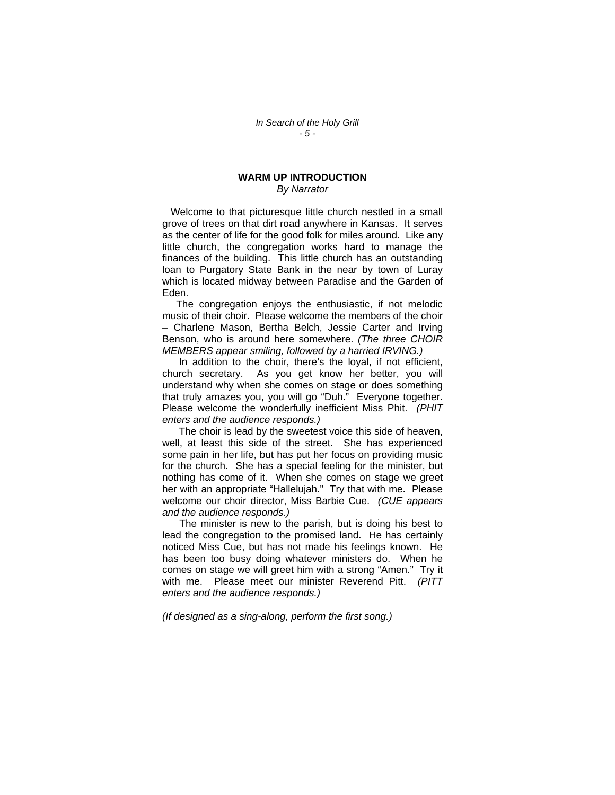#### **WARM UP INTRODUCTION**  *By Narrator*

 Welcome to that picturesque little church nestled in a small grove of trees on that dirt road anywhere in Kansas. It serves as the center of life for the good folk for miles around. Like any little church, the congregation works hard to manage the finances of the building. This little church has an outstanding loan to Purgatory State Bank in the near by town of Luray which is located midway between Paradise and the Garden of Eden.

 The congregation enjoys the enthusiastic, if not melodic music of their choir. Please welcome the members of the choir – Charlene Mason, Bertha Belch, Jessie Carter and Irving Benson, who is around here somewhere. *(The three CHOIR MEMBERS appear smiling, followed by a harried IRVING.)*

 In addition to the choir, there's the loyal, if not efficient, church secretary. As you get know her better, you will understand why when she comes on stage or does something that truly amazes you, you will go "Duh." Everyone together. Please welcome the wonderfully inefficient Miss Phit. *(PHIT enters and the audience responds.)* 

 The choir is lead by the sweetest voice this side of heaven, well, at least this side of the street. She has experienced some pain in her life, but has put her focus on providing music for the church. She has a special feeling for the minister, but nothing has come of it. When she comes on stage we greet her with an appropriate "Hallelujah." Try that with me. Please welcome our choir director, Miss Barbie Cue. *(CUE appears and the audience responds.)* 

 The minister is new to the parish, but is doing his best to lead the congregation to the promised land. He has certainly noticed Miss Cue, but has not made his feelings known. He has been too busy doing whatever ministers do. When he comes on stage we will greet him with a strong "Amen." Try it with me. Please meet our minister Reverend Pitt. *(PITT enters and the audience responds.)* 

*(If designed as a sing-along, perform the first song.)*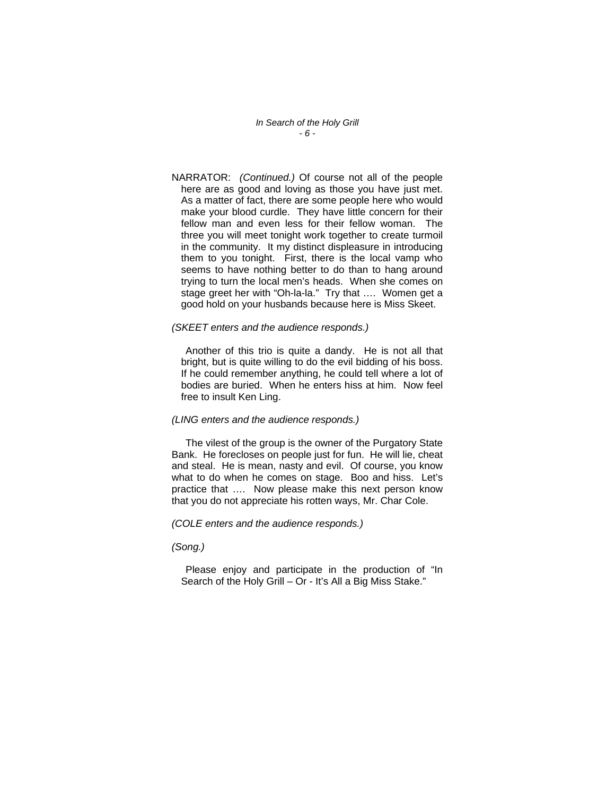*In Search of the Holy Grill - 6 -* 

NARRATOR: *(Continued.)* Of course not all of the people here are as good and loving as those you have just met. As a matter of fact, there are some people here who would make your blood curdle. They have little concern for their fellow man and even less for their fellow woman. The three you will meet tonight work together to create turmoil in the community. It my distinct displeasure in introducing them to you tonight. First, there is the local vamp who seems to have nothing better to do than to hang around trying to turn the local men's heads. When she comes on stage greet her with "Oh-la-la." Try that …. Women get a good hold on your husbands because here is Miss Skeet.

#### *(SKEET enters and the audience responds.)*

 Another of this trio is quite a dandy. He is not all that bright, but is quite willing to do the evil bidding of his boss. If he could remember anything, he could tell where a lot of bodies are buried. When he enters hiss at him. Now feel free to insult Ken Ling.

#### *(LING enters and the audience responds.)*

 The vilest of the group is the owner of the Purgatory State Bank. He forecloses on people just for fun. He will lie, cheat and steal. He is mean, nasty and evil. Of course, you know what to do when he comes on stage. Boo and hiss. Let's practice that …. Now please make this next person know that you do not appreciate his rotten ways, Mr. Char Cole.

#### *(COLE enters and the audience responds.)*

*(Song.)* 

Please enjoy and participate in the production of "In Search of the Holy Grill – Or - It's All a Big Miss Stake."